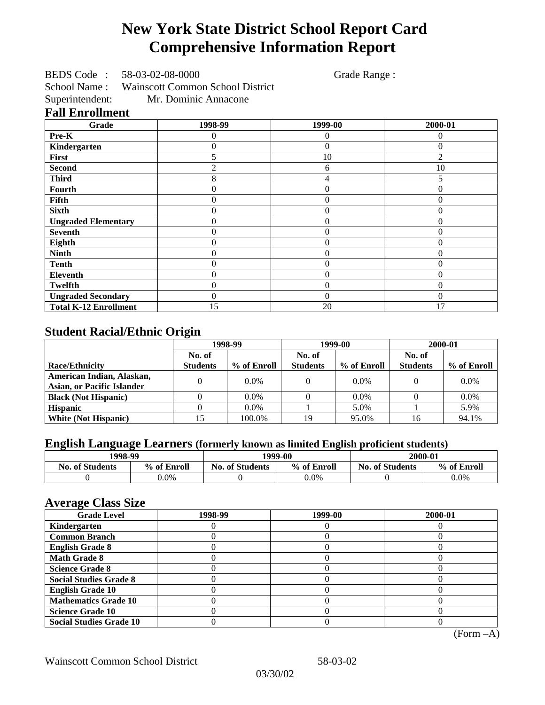# **New York State District School Report Card Comprehensive Information Report**

BEDS Code : 58-03-02-08-0000 Grade Range :

School Name : Wainscott Common School District Superintendent: Mr. Dominic Annacone

#### **Fall Enrollment**

| Grade                        | 1998-99 | 1999-00        | 2000-01        |
|------------------------------|---------|----------------|----------------|
| Pre-K                        | 0       | $\overline{0}$ | $\Omega$       |
| Kindergarten                 | 0       | $\Omega$       | $\Omega$       |
| First                        |         | 10             | 2              |
| <b>Second</b>                |         | 6              | 10             |
| <b>Third</b>                 | 8       | 4              |                |
| Fourth                       | 0       | $\Omega$       | $\theta$       |
| Fifth                        | 0       | $\Omega$       | $\theta$       |
| <b>Sixth</b>                 | 0       | $\theta$       | $\overline{0}$ |
| <b>Ungraded Elementary</b>   | 0       | $\overline{0}$ | $\theta$       |
| <b>Seventh</b>               | 0       | $\theta$       | $\theta$       |
| Eighth                       | 0       | $\overline{0}$ | $\Omega$       |
| <b>Ninth</b>                 | 0       | $\theta$       | 0              |
| <b>Tenth</b>                 | 0       | $\theta$       | $\theta$       |
| Eleventh                     | 0       | $\theta$       | $\Omega$       |
| <b>Twelfth</b>               | 0       | $\theta$       | $\Omega$       |
| <b>Ungraded Secondary</b>    | 0       | $\theta$       | $\Omega$       |
| <b>Total K-12 Enrollment</b> | 15      | 20             | 17             |

# **Student Racial/Ethnic Origin**

|                                   | 1998-99         |             | 1999-00         |             | 2000-01         |             |
|-----------------------------------|-----------------|-------------|-----------------|-------------|-----------------|-------------|
|                                   | No. of          |             | No. of          |             | No. of          |             |
| <b>Race/Ethnicity</b>             | <b>Students</b> | % of Enroll | <b>Students</b> | % of Enroll | <b>Students</b> | % of Enroll |
| American Indian, Alaskan,         |                 | $0.0\%$     |                 | $0.0\%$     |                 | $0.0\%$     |
| <b>Asian, or Pacific Islander</b> |                 |             |                 |             |                 |             |
| <b>Black (Not Hispanic)</b>       |                 | $0.0\%$     |                 | $0.0\%$     |                 | $0.0\%$     |
| <b>Hispanic</b>                   |                 | $0.0\%$     |                 | 5.0%        |                 | 5.9%        |
| <b>White (Not Hispanic)</b>       |                 | 100.0%      | 19              | 95.0%       | 16              | 94.1%       |

# **English Language Learners (formerly known as limited English proficient students)**

| 1998-99                |             | 1999-00                |             | 2000-01                |             |
|------------------------|-------------|------------------------|-------------|------------------------|-------------|
| <b>No. of Students</b> | % of Enroll | <b>No. of Students</b> | % of Enroll | <b>No. of Students</b> | % of Enroll |
|                        | $0.0\%$     |                        | 0.0%        |                        | 0.0%        |

#### **Average Class Size**

| ---- <del>--</del> -<br><b>Grade Level</b> | 1998-99 | 1999-00 | 2000-01 |
|--------------------------------------------|---------|---------|---------|
| Kindergarten                               |         |         |         |
| <b>Common Branch</b>                       |         |         |         |
| <b>English Grade 8</b>                     |         |         |         |
| <b>Math Grade 8</b>                        |         |         |         |
| <b>Science Grade 8</b>                     |         |         |         |
| <b>Social Studies Grade 8</b>              |         |         |         |
| <b>English Grade 10</b>                    |         |         |         |
| <b>Mathematics Grade 10</b>                |         |         |         |
| <b>Science Grade 10</b>                    |         |         |         |
| <b>Social Studies Grade 10</b>             |         |         |         |

(Form –A)